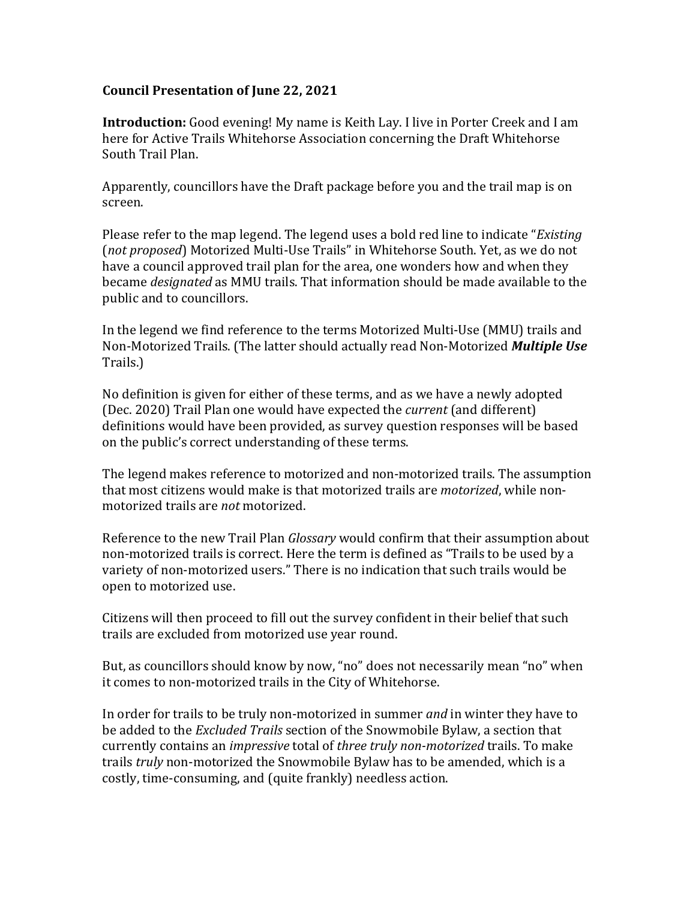## **Council Presentation of June 22, 2021**

**Introduction:** Good evening! My name is Keith Lay. I live in Porter Creek and I am here for Active Trails Whitehorse Association concerning the Draft Whitehorse South Trail Plan.

Apparently, councillors have the Draft package before you and the trail map is on screen. 

Please refer to the map legend. The legend uses a bold red line to indicate *"Existing*" (*not proposed*) Motorized Multi-Use Trails" in Whitehorse South. Yet, as we do not have a council approved trail plan for the area, one wonders how and when they became *designated* as MMU trails. That information should be made available to the public and to councillors.

In the legend we find reference to the terms Motorized Multi-Use (MMU) trails and Non-Motorized Trails. (The latter should actually read Non-Motorized *Multiple Use* Trails.)

No definition is given for either of these terms, and as we have a newly adopted (Dec. 2020) Trail Plan one would have expected the *current* (and different) definitions would have been provided, as survey question responses will be based on the public's correct understanding of these terms.

The legend makes reference to motorized and non-motorized trails. The assumption that most citizens would make is that motorized trails are *motorized*, while nonmotorized trails are *not* motorized.

Reference to the new Trail Plan *Glossary* would confirm that their assumption about non-motorized trails is correct. Here the term is defined as "Trails to be used by a variety of non-motorized users." There is no indication that such trails would be open to motorized use.

Citizens will then proceed to fill out the survey confident in their belief that such trails are excluded from motorized use year round.

But, as councillors should know by now, "no" does not necessarily mean "no" when it comes to non-motorized trails in the City of Whitehorse.

In order for trails to be truly non-motorized in summer *and* in winter they have to be added to the *Excluded Trails* section of the Snowmobile Bylaw, a section that currently contains an *impressive* total of *three truly non-motorized* trails. To make trails *truly* non-motorized the Snowmobile Bylaw has to be amended, which is a costly, time-consuming, and (quite frankly) needless action.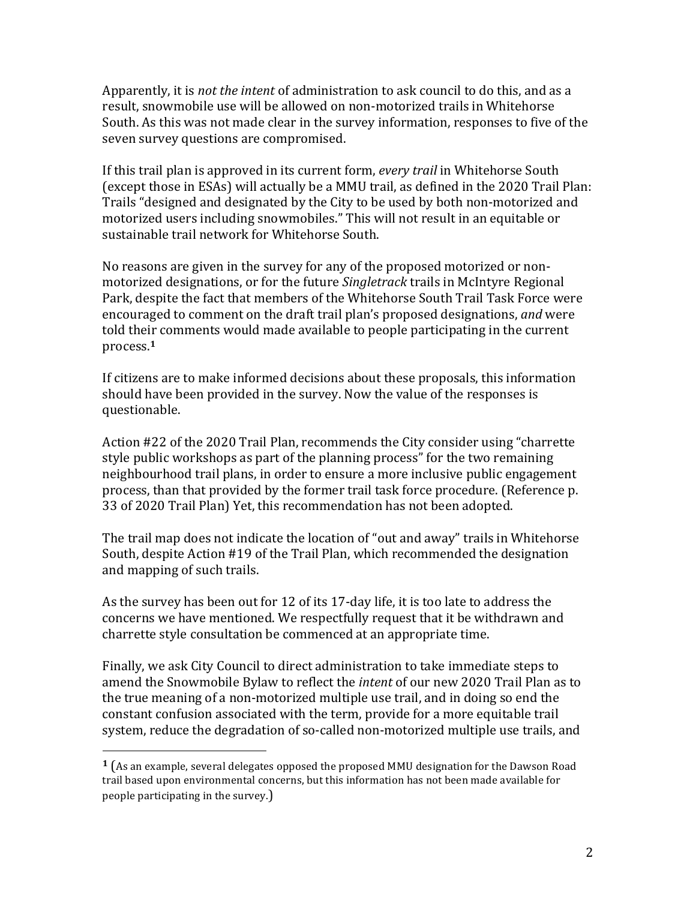Apparently, it is *not the intent* of administration to ask council to do this, and as a result, snowmobile use will be allowed on non-motorized trails in Whitehorse South. As this was not made clear in the survey information, responses to five of the seven survey questions are compromised.

If this trail plan is approved in its current form, *every trail* in Whitehorse South (except those in ESAs) will actually be a MMU trail, as defined in the 2020 Trail Plan: Trails "designed and designated by the City to be used by both non-motorized and motorized users including snowmobiles." This will not result in an equitable or sustainable trail network for Whitehorse South.

No reasons are given in the survey for any of the proposed motorized or nonmotorized designations, or for the future *Singletrack* trails in McIntyre Regional Park, despite the fact that members of the Whitehorse South Trail Task Force were encouraged to comment on the draft trail plan's proposed designations, *and* were told their comments would made available to people participating in the current process.**<sup>1</sup>**

If citizens are to make informed decisions about these proposals, this information should have been provided in the survey. Now the value of the responses is questionable.

Action #22 of the 2020 Trail Plan, recommends the City consider using "charrette style public workshops as part of the planning process" for the two remaining neighbourhood trail plans, in order to ensure a more inclusive public engagement process, than that provided by the former trail task force procedure. (Reference p. 33 of 2020 Trail Plan) Yet, this recommendation has not been adopted.

The trail map does not indicate the location of "out and away" trails in Whitehorse South, despite Action #19 of the Trail Plan, which recommended the designation and mapping of such trails.

As the survey has been out for 12 of its 17-day life, it is too late to address the concerns we have mentioned. We respectfully request that it be withdrawn and charrette style consultation be commenced at an appropriate time.

Finally, we ask City Council to direct administration to take immediate steps to amend the Snowmobile Bylaw to reflect the *intent* of our new 2020 Trail Plan as to the true meaning of a non-motorized multiple use trail, and in doing so end the constant confusion associated with the term, provide for a more equitable trail system, reduce the degradation of so-called non-motorized multiple use trails, and

 

**<sup>1</sup>** (As an example, several delegates opposed the proposed MMU designation for the Dawson Road trail based upon environmental concerns, but this information has not been made available for people participating in the survey.)